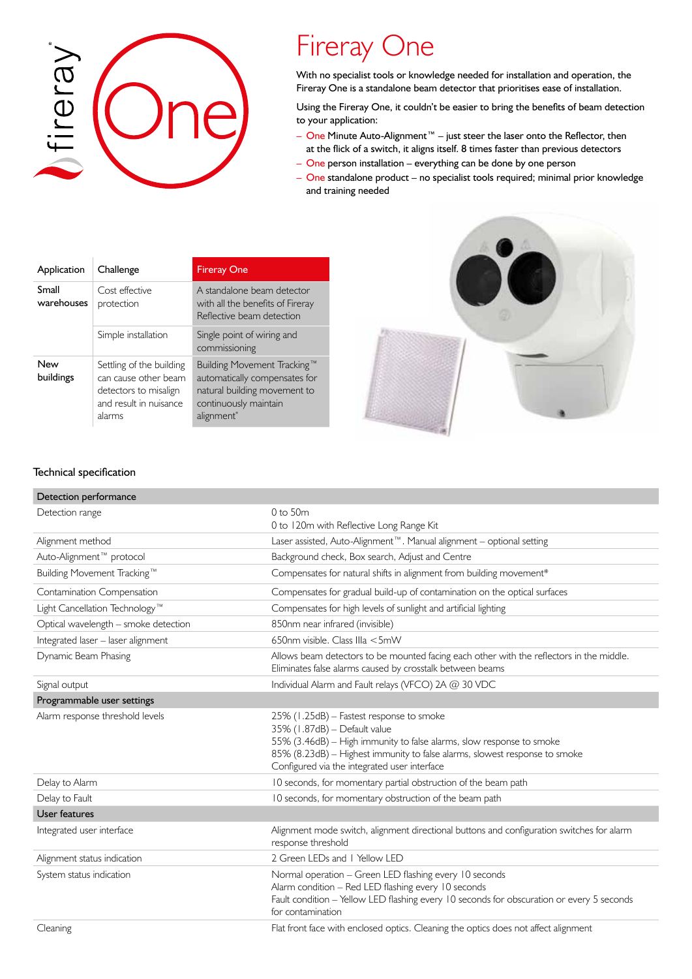

# Fireray One

With no specialist tools or knowledge needed for installation and operation, the Fireray One is a standalone beam detector that prioritises ease of installation.

Using the Fireray One, it couldn't be easier to bring the benefits of beam detection to your application:

- One Minute Auto-Alignment™ just steer the laser onto the Reflector, then at the flick of a switch, it aligns itself. 8 times faster than previous detectors
- One person installation everything can be done by one person
- One standalone product no specialist tools required; minimal prior knowledge and training needed

| Application         | Challenge                                                                                                     | <b>Fireray One</b>                                                                                                                              |
|---------------------|---------------------------------------------------------------------------------------------------------------|-------------------------------------------------------------------------------------------------------------------------------------------------|
| Small<br>warehouses | Cost effective<br>protection                                                                                  | A standalone beam detector<br>with all the benefits of Fireray<br>Reflective beam detection                                                     |
|                     | Simple installation                                                                                           | Single point of wiring and<br>commissioning                                                                                                     |
| New<br>buildings    | Settling of the building<br>can cause other beam<br>detectors to misalign<br>and result in nuisance<br>alarms | Building Movement Tracking™<br>automatically compensates for<br>natural building movement to<br>continuously maintain<br>alignment <sup>*</sup> |



## Technical specification

| Detection performance                |                                                                                                                                                                                                                                                                                |
|--------------------------------------|--------------------------------------------------------------------------------------------------------------------------------------------------------------------------------------------------------------------------------------------------------------------------------|
| Detection range                      | $0$ to 50 $m$<br>0 to 120m with Reflective Long Range Kit                                                                                                                                                                                                                      |
| Alignment method                     | Laser assisted, Auto-Alignment™. Manual alignment - optional setting                                                                                                                                                                                                           |
| Auto-Alignment™ protocol             | Background check, Box search, Adjust and Centre                                                                                                                                                                                                                                |
| Building Movement Tracking™          | Compensates for natural shifts in alignment from building movement*                                                                                                                                                                                                            |
| Contamination Compensation           | Compensates for gradual build-up of contamination on the optical surfaces                                                                                                                                                                                                      |
| Light Cancellation Technology™       | Compensates for high levels of sunlight and artificial lighting                                                                                                                                                                                                                |
| Optical wavelength - smoke detection | 850nm near infrared (invisible)                                                                                                                                                                                                                                                |
| Integrated laser - laser alignment   | 650nm visible. Class IIIa <5mW                                                                                                                                                                                                                                                 |
| Dynamic Beam Phasing                 | Allows beam detectors to be mounted facing each other with the reflectors in the middle.<br>Eliminates false alarms caused by crosstalk between beams                                                                                                                          |
| Signal output                        | Individual Alarm and Fault relays (VFCO) 2A @ 30 VDC                                                                                                                                                                                                                           |
| Programmable user settings           |                                                                                                                                                                                                                                                                                |
| Alarm response threshold levels      | 25% (1.25dB) - Fastest response to smoke<br>35% (1.87dB) - Default value<br>55% (3.46dB) - High immunity to false alarms, slow response to smoke<br>85% (8.23dB) - Highest immunity to false alarms, slowest response to smoke<br>Configured via the integrated user interface |
| Delay to Alarm                       | 10 seconds, for momentary partial obstruction of the beam path                                                                                                                                                                                                                 |
| Delay to Fault                       | 10 seconds, for momentary obstruction of the beam path                                                                                                                                                                                                                         |
| User features                        |                                                                                                                                                                                                                                                                                |
| Integrated user interface            | Alignment mode switch, alignment directional buttons and configuration switches for alarm<br>response threshold                                                                                                                                                                |
| Alignment status indication          | 2 Green LEDs and 1 Yellow LED                                                                                                                                                                                                                                                  |
| System status indication             | Normal operation - Green LED flashing every 10 seconds<br>Alarm condition - Red LED flashing every 10 seconds<br>Fault condition - Yellow LED flashing every 10 seconds for obscuration or every 5 seconds<br>for contamination                                                |
| Cleaning                             | Flat front face with enclosed optics. Cleaning the optics does not affect alignment                                                                                                                                                                                            |